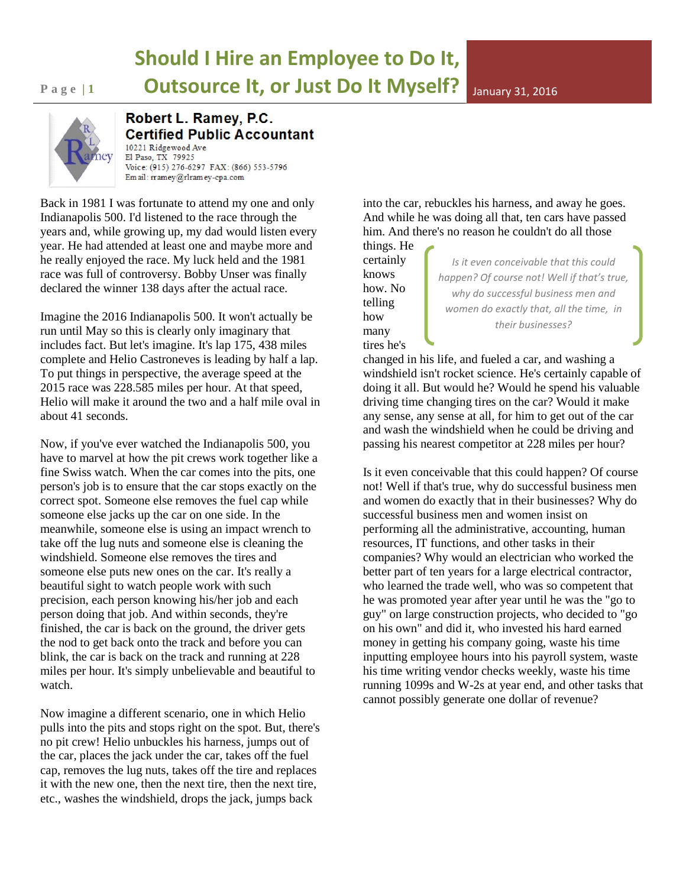## **Should I Hire an Employee to Do It,**

## **Page 11 Outsource It, or Just Do It Myself?** January 31, 2016



## Robert L. Ramey, P.C. **Certified Public Accountant** 10221 Ridgewood Ave

El Paso, TX 79925 Voice: (915) 276-6297 FAX: (866) 553-5796 Email: rramey@rlramey-cpa.com

Back in 1981 I was fortunate to attend my one and only Indianapolis 500. I'd listened to the race through the years and, while growing up, my dad would listen every year. He had attended at least one and maybe more and he really enjoyed the race. My luck held and the 1981 race was full of controversy. Bobby Unser was finally declared the winner 138 days after the actual race.

Imagine the 2016 Indianapolis 500. It won't actually be run until May so this is clearly only imaginary that includes fact. But let's imagine. It's lap 175, 438 miles complete and Helio Castroneves is leading by half a lap. To put things in perspective, the average speed at the 2015 race was 228.585 miles per hour. At that speed, Helio will make it around the two and a half mile oval in about 41 seconds.

Now, if you've ever watched the Indianapolis 500, you have to marvel at how the pit crews work together like a fine Swiss watch. When the car comes into the pits, one person's job is to ensure that the car stops exactly on the correct spot. Someone else removes the fuel cap while someone else jacks up the car on one side. In the meanwhile, someone else is using an impact wrench to take off the lug nuts and someone else is cleaning the windshield. Someone else removes the tires and someone else puts new ones on the car. It's really a beautiful sight to watch people work with such precision, each person knowing his/her job and each person doing that job. And within seconds, they're finished, the car is back on the ground, the driver gets the nod to get back onto the track and before you can blink, the car is back on the track and running at 228 miles per hour. It's simply unbelievable and beautiful to watch.

Now imagine a different scenario, one in which Helio pulls into the pits and stops right on the spot. But, there's no pit crew! Helio unbuckles his harness, jumps out of the car, places the jack under the car, takes off the fuel cap, removes the lug nuts, takes off the tire and replaces it with the new one, then the next tire, then the next tire, etc., washes the windshield, drops the jack, jumps back

into the car, rebuckles his harness, and away he goes. And while he was doing all that, ten cars have passed him. And there's no reason he couldn't do all those

things. He certainly knows how. No telling how many tires he's

*Is it even conceivable that this could happen? Of course not! Well if that's true, why do successful business men and women do exactly that, all the time, in their businesses?*

changed in his life, and fueled a car, and washing a windshield isn't rocket science. He's certainly capable of doing it all. But would he? Would he spend his valuable driving time changing tires on the car? Would it make any sense, any sense at all, for him to get out of the car and wash the windshield when he could be driving and passing his nearest competitor at 228 miles per hour?

Is it even conceivable that this could happen? Of course not! Well if that's true, why do successful business men and women do exactly that in their businesses? Why do successful business men and women insist on performing all the administrative, accounting, human resources, IT functions, and other tasks in their companies? Why would an electrician who worked the better part of ten years for a large electrical contractor, who learned the trade well, who was so competent that he was promoted year after year until he was the "go to guy" on large construction projects, who decided to "go on his own" and did it, who invested his hard earned money in getting his company going, waste his time inputting employee hours into his payroll system, waste his time writing vendor checks weekly, waste his time running 1099s and W-2s at year end, and other tasks that cannot possibly generate one dollar of revenue?